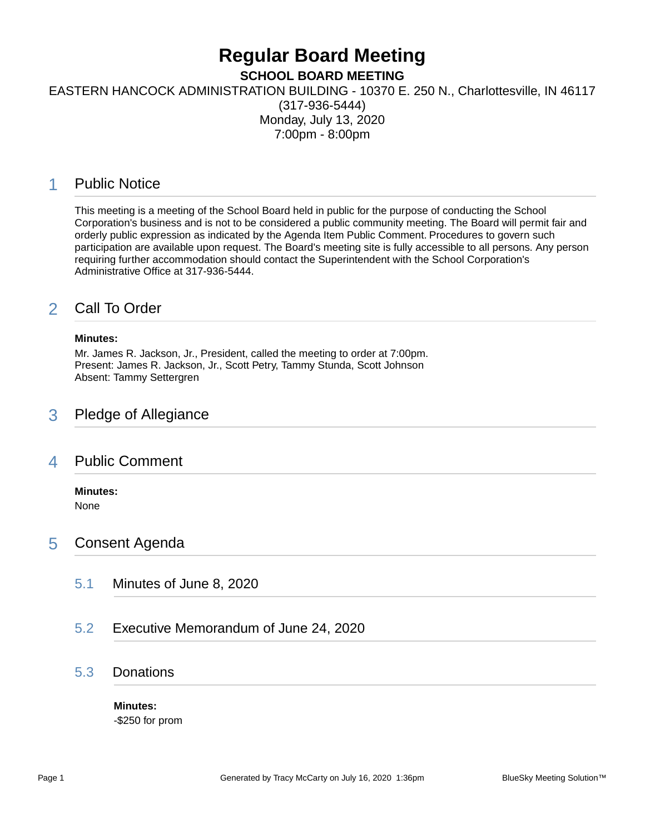# **Regular Board Meeting**

**SCHOOL BOARD MEETING**

EASTERN HANCOCK ADMINISTRATION BUILDING - 10370 E. 250 N., Charlottesville, IN 46117

(317-936-5444) Monday, July 13, 2020 7:00pm - 8:00pm

# 1 Public Notice

This meeting is a meeting of the School Board held in public for the purpose of conducting the School Corporation's business and is not to be considered a public community meeting. The Board will permit fair and orderly public expression as indicated by the Agenda Item Public Comment. Procedures to govern such participation are available upon request. The Board's meeting site is fully accessible to all persons. Any person requiring further accommodation should contact the Superintendent with the School Corporation's Administrative Office at 317-936-5444.

# 2 Call To Order

#### **Minutes:**

Mr. James R. Jackson, Jr., President, called the meeting to order at 7:00pm. Present: James R. Jackson, Jr., Scott Petry, Tammy Stunda, Scott Johnson Absent: Tammy Settergren

## 3 Pledge of Allegiance

## 4 Public Comment

## **Minutes:**

None

## 5 Consent Agenda

- 5.1 Minutes of June 8, 2020
- 5.2 Executive Memorandum of June 24, 2020

## 5.3 Donations

**Minutes:** -\$250 for prom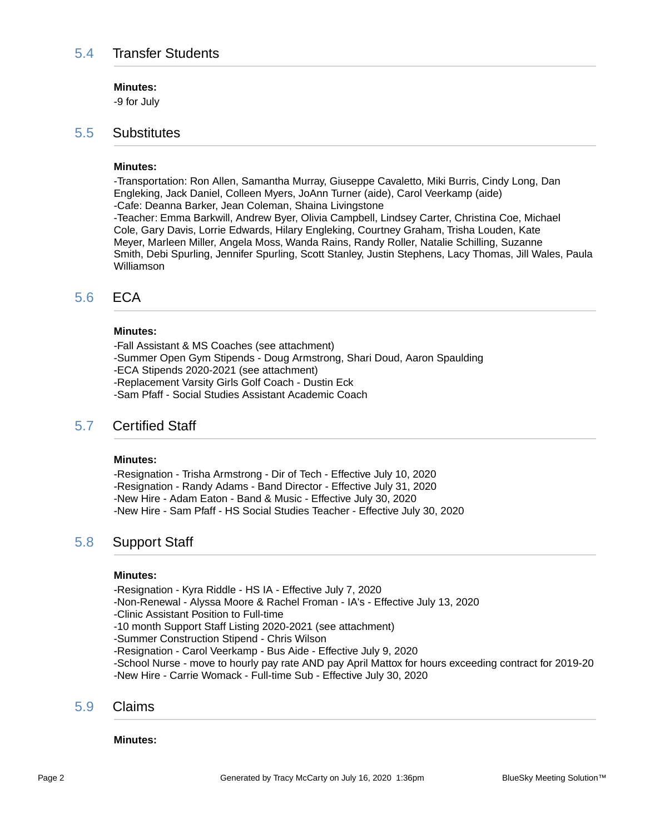#### **Minutes:**

-9 for July

### 5.5 Substitutes

#### **Minutes:**

-Transportation: Ron Allen, Samantha Murray, Giuseppe Cavaletto, Miki Burris, Cindy Long, Dan Engleking, Jack Daniel, Colleen Myers, JoAnn Turner (aide), Carol Veerkamp (aide) -Cafe: Deanna Barker, Jean Coleman, Shaina Livingstone -Teacher: Emma Barkwill, Andrew Byer, Olivia Campbell, Lindsey Carter, Christina Coe, Michael Cole, Gary Davis, Lorrie Edwards, Hilary Engleking, Courtney Graham, Trisha Louden, Kate Meyer, Marleen Miller, Angela Moss, Wanda Rains, Randy Roller, Natalie Schilling, Suzanne Smith, Debi Spurling, Jennifer Spurling, Scott Stanley, Justin Stephens, Lacy Thomas, Jill Wales, Paula Williamson

## 5.6 ECA

#### **Minutes:**

-Fall Assistant & MS Coaches (see attachment) -Summer Open Gym Stipends - Doug Armstrong, Shari Doud, Aaron Spaulding -ECA Stipends 2020-2021 (see attachment) -Replacement Varsity Girls Golf Coach - Dustin Eck -Sam Pfaff - Social Studies Assistant Academic Coach

### 5.7 Certified Staff

#### **Minutes:**

-Resignation - Trisha Armstrong - Dir of Tech - Effective July 10, 2020 -Resignation - Randy Adams - Band Director - Effective July 31, 2020 -New Hire - Adam Eaton - Band & Music - Effective July 30, 2020 -New Hire - Sam Pfaff - HS Social Studies Teacher - Effective July 30, 2020

### 5.8 Support Staff

#### **Minutes:**

-Resignation - Kyra Riddle - HS IA - Effective July 7, 2020

- -Non-Renewal Alyssa Moore & Rachel Froman IA's Effective July 13, 2020
- -Clinic Assistant Position to Full-time
- -10 month Support Staff Listing 2020-2021 (see attachment)
- -Summer Construction Stipend Chris Wilson

-Resignation - Carol Veerkamp - Bus Aide - Effective July 9, 2020

-School Nurse - move to hourly pay rate AND pay April Mattox for hours exceeding contract for 2019-20 -New Hire - Carrie Womack - Full-time Sub - Effective July 30, 2020

#### 5.9 Claims

#### **Minutes:**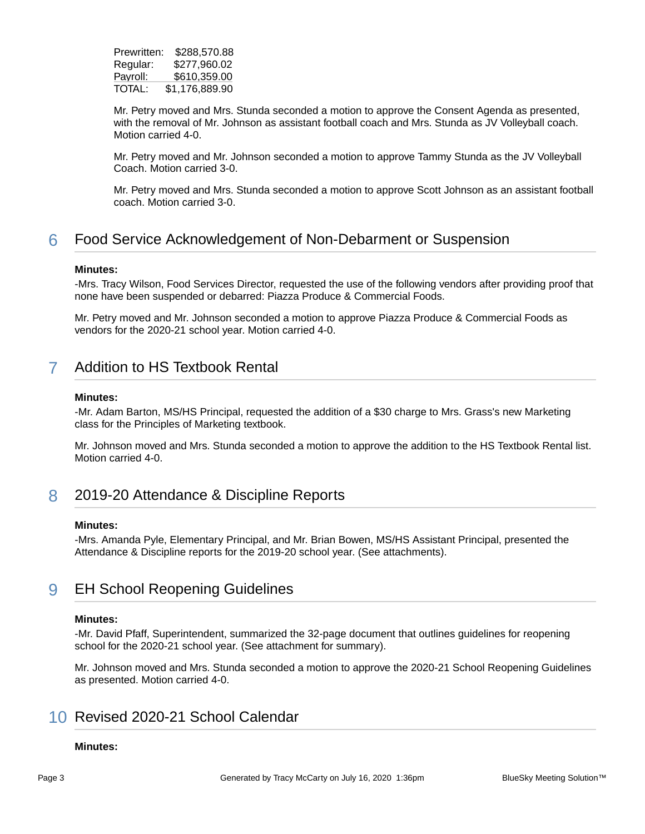| Prewritten: | \$288,570.88   |
|-------------|----------------|
| Regular:    | \$277,960.02   |
| Payroll:    | \$610,359.00   |
| TOTAL:      | \$1,176,889.90 |

Mr. Petry moved and Mrs. Stunda seconded a motion to approve the Consent Agenda as presented, with the removal of Mr. Johnson as assistant football coach and Mrs. Stunda as JV Volleyball coach. Motion carried 4-0.

Mr. Petry moved and Mr. Johnson seconded a motion to approve Tammy Stunda as the JV Volleyball Coach. Motion carried 3-0.

Mr. Petry moved and Mrs. Stunda seconded a motion to approve Scott Johnson as an assistant football coach. Motion carried 3-0.

# 6 Food Service Acknowledgement of Non-Debarment or Suspension

#### **Minutes:**

-Mrs. Tracy Wilson, Food Services Director, requested the use of the following vendors after providing proof that none have been suspended or debarred: Piazza Produce & Commercial Foods.

Mr. Petry moved and Mr. Johnson seconded a motion to approve Piazza Produce & Commercial Foods as vendors for the 2020-21 school year. Motion carried 4-0.

# 7 Addition to HS Textbook Rental

#### **Minutes:**

-Mr. Adam Barton, MS/HS Principal, requested the addition of a \$30 charge to Mrs. Grass's new Marketing class for the Principles of Marketing textbook.

Mr. Johnson moved and Mrs. Stunda seconded a motion to approve the addition to the HS Textbook Rental list. Motion carried 4-0.

# 8 2019-20 Attendance & Discipline Reports

#### **Minutes:**

-Mrs. Amanda Pyle, Elementary Principal, and Mr. Brian Bowen, MS/HS Assistant Principal, presented the Attendance & Discipline reports for the 2019-20 school year. (See attachments).

# 9 EH School Reopening Guidelines

#### **Minutes:**

-Mr. David Pfaff, Superintendent, summarized the 32-page document that outlines guidelines for reopening school for the 2020-21 school year. (See attachment for summary).

Mr. Johnson moved and Mrs. Stunda seconded a motion to approve the 2020-21 School Reopening Guidelines as presented. Motion carried 4-0.

# 10 Revised 2020-21 School Calendar

#### **Minutes:**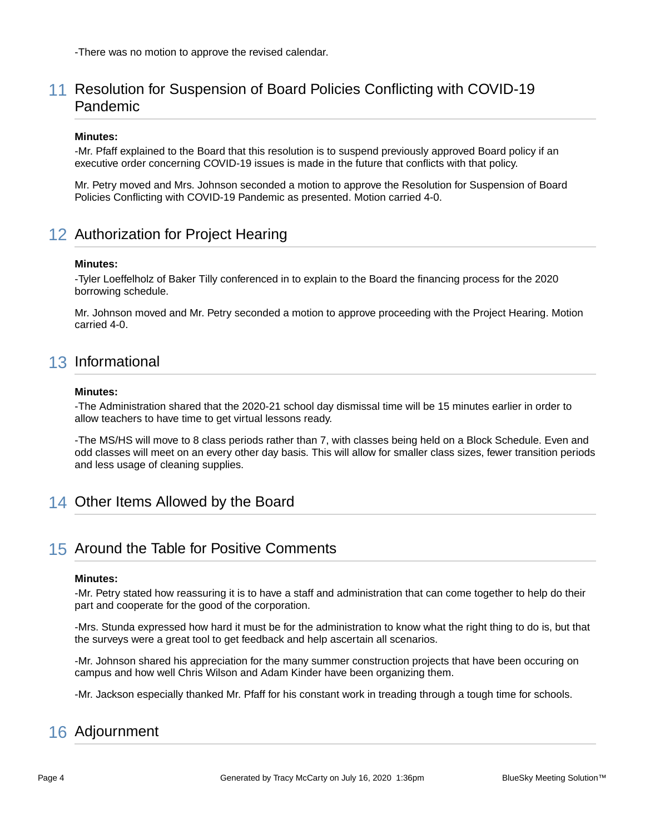-There was no motion to approve the revised calendar.

# 11 Resolution for Suspension of Board Policies Conflicting with COVID-19 Pandemic

#### **Minutes:**

-Mr. Pfaff explained to the Board that this resolution is to suspend previously approved Board policy if an executive order concerning COVID-19 issues is made in the future that conflicts with that policy.

Mr. Petry moved and Mrs. Johnson seconded a motion to approve the Resolution for Suspension of Board Policies Conflicting with COVID-19 Pandemic as presented. Motion carried 4-0.

# 12 Authorization for Project Hearing

#### **Minutes:**

-Tyler Loeffelholz of Baker Tilly conferenced in to explain to the Board the financing process for the 2020 borrowing schedule.

Mr. Johnson moved and Mr. Petry seconded a motion to approve proceeding with the Project Hearing. Motion carried 4-0.

# 13 Informational

#### **Minutes:**

-The Administration shared that the 2020-21 school day dismissal time will be 15 minutes earlier in order to allow teachers to have time to get virtual lessons ready.

-The MS/HS will move to 8 class periods rather than 7, with classes being held on a Block Schedule. Even and odd classes will meet on an every other day basis. This will allow for smaller class sizes, fewer transition periods and less usage of cleaning supplies.

# 14 Other Items Allowed by the Board

## 15 Around the Table for Positive Comments

#### **Minutes:**

-Mr. Petry stated how reassuring it is to have a staff and administration that can come together to help do their part and cooperate for the good of the corporation.

-Mrs. Stunda expressed how hard it must be for the administration to know what the right thing to do is, but that the surveys were a great tool to get feedback and help ascertain all scenarios.

-Mr. Johnson shared his appreciation for the many summer construction projects that have been occuring on campus and how well Chris Wilson and Adam Kinder have been organizing them.

-Mr. Jackson especially thanked Mr. Pfaff for his constant work in treading through a tough time for schools.

# 16 Adjournment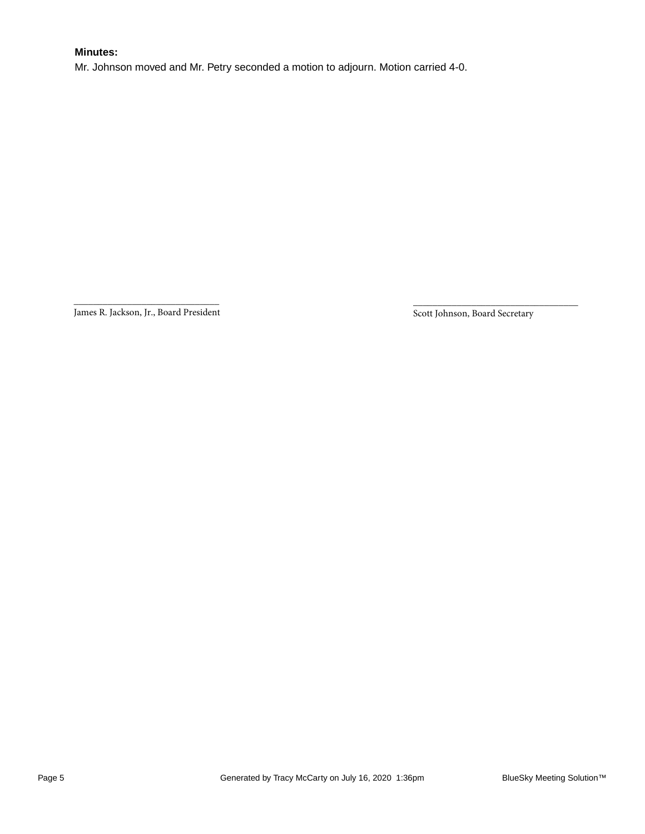### **Minutes:**

Mr. Johnson moved and Mr. Petry seconded a motion to adjourn. Motion carried 4-0.

\_\_\_\_\_\_\_\_\_\_\_\_\_\_\_\_\_\_\_\_\_\_\_\_\_\_\_\_\_\_ James R. Jackson, Jr., Board President

Scott Johnson, Board Secretary

\_\_\_\_\_\_\_\_\_\_\_\_\_\_\_\_\_\_\_\_\_\_\_\_\_\_\_\_\_\_\_\_\_\_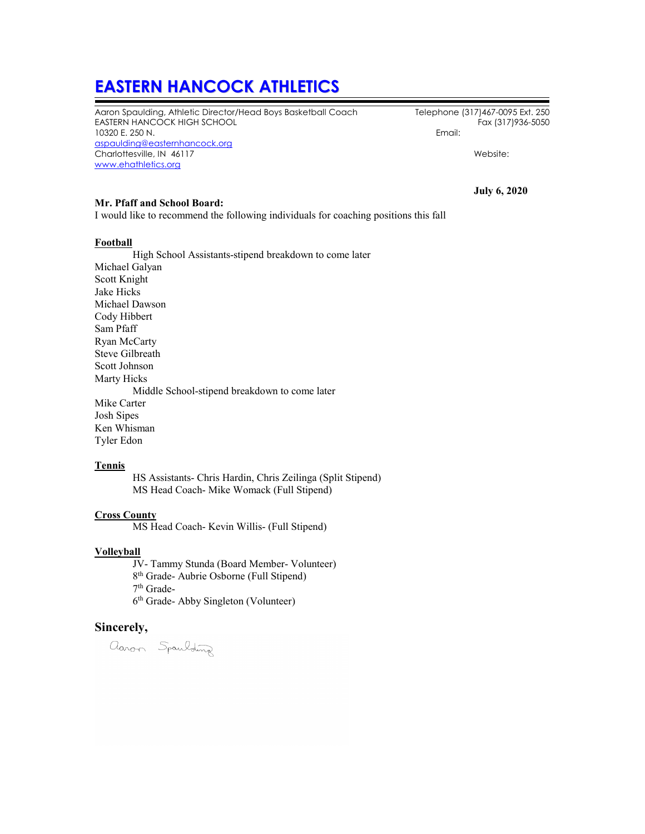# **EASTERN HANCOCK ATHLETICS**

Aaron Spaulding, Athletic Director/Head Boys Basketball Coach Telephone (317)467-0095 Ext. 250 EASTERN HANCOCK HIGH SCHOOL 10320 E. 250 N. Email: [aspaulding@easternhancock.org](mailto:aspaulding@easternhancock.org) Charlottesville, IN 46117 Website: [www.ehathletics.org](http://www.ehathletics.org/)

#### **Mr. Pfaff and School Board:**

I would like to recommend the following individuals for coaching positions this fall

#### **Football**

High School Assistants-stipend breakdown to come later Michael Galyan Scott Knight Jake Hicks Michael Dawson Cody Hibbert Sam Pfaff Ryan McCarty Steve Gilbreath Scott Johnson Marty Hicks Middle School-stipend breakdown to come later Mike Carter Josh Sipes Ken Whisman Tyler Edon

#### **Tennis**

HS Assistants- Chris Hardin, Chris Zeilinga (Split Stipend) MS Head Coach- Mike Womack (Full Stipend)

#### **Cross County**

MS Head Coach- Kevin Willis- (Full Stipend)

#### **Volleyball**

JV- Tammy Stunda (Board Member- Volunteer)

8th Grade- Aubrie Osborne (Full Stipend)

 $7^{\rm th}$ Grade-

6th Grade- Abby Singleton (Volunteer)

#### **Sincerely,**

aaron Spaulding

**July 6, 2020**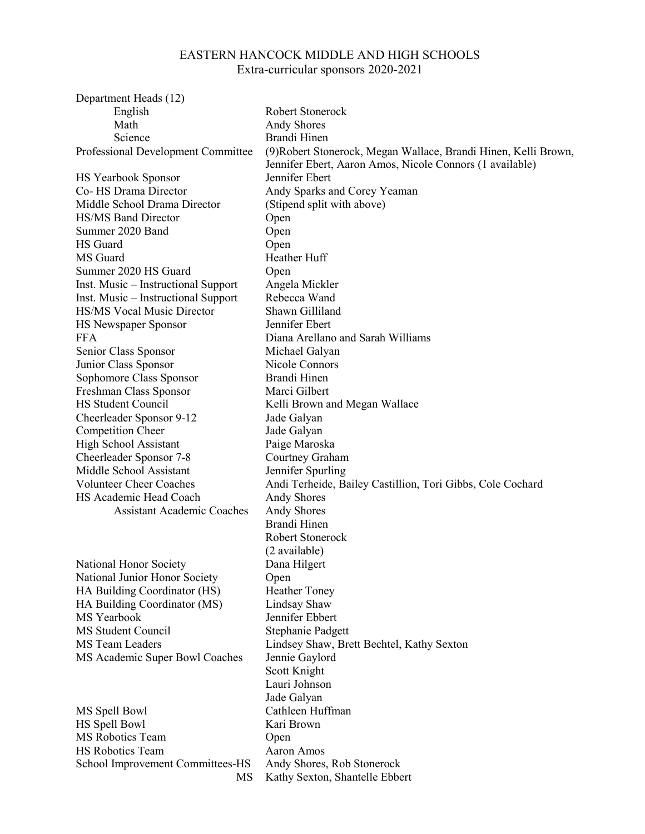# EASTERN HANCOCK MIDDLE AND HIGH SCHOOLS Extra-curricular sponsors 2020-2021

| Department Heads (12)               |                                                                 |
|-------------------------------------|-----------------------------------------------------------------|
| English                             | Robert Stonerock                                                |
| Math                                | <b>Andy Shores</b>                                              |
| Science                             | Brandi Hinen                                                    |
| Professional Development Committee  | (9) Robert Stonerock, Megan Wallace, Brandi Hinen, Kelli Brown, |
|                                     | Jennifer Ebert, Aaron Amos, Nicole Connors (1 available)        |
| <b>HS Yearbook Sponsor</b>          | Jennifer Ebert                                                  |
| Co- HS Drama Director               | Andy Sparks and Corey Yeaman                                    |
| Middle School Drama Director        | (Stipend split with above)                                      |
| <b>HS/MS Band Director</b>          | Open                                                            |
| Summer 2020 Band                    | Open                                                            |
| HS Guard                            | Open                                                            |
| MS Guard                            | Heather Huff                                                    |
| Summer 2020 HS Guard                | Open                                                            |
| Inst. Music – Instructional Support | Angela Mickler                                                  |
| Inst. Music – Instructional Support | Rebecca Wand                                                    |
| <b>HS/MS Vocal Music Director</b>   | Shawn Gilliland                                                 |
| HS Newspaper Sponsor                | Jennifer Ebert                                                  |
| <b>FFA</b>                          | Diana Arellano and Sarah Williams                               |
| Senior Class Sponsor                | Michael Galyan                                                  |
| Junior Class Sponsor                | Nicole Connors                                                  |
| Sophomore Class Sponsor             | Brandi Hinen                                                    |
| Freshman Class Sponsor              | Marci Gilbert                                                   |
| <b>HS Student Council</b>           | Kelli Brown and Megan Wallace                                   |
|                                     |                                                                 |
| Cheerleader Sponsor 9-12            | Jade Galyan                                                     |
| Competition Cheer                   | Jade Galyan                                                     |
| <b>High School Assistant</b>        | Paige Maroska                                                   |
| Cheerleader Sponsor 7-8             | Courtney Graham                                                 |
| Middle School Assistant             | Jennifer Spurling                                               |
| <b>Volunteer Cheer Coaches</b>      | Andi Terheide, Bailey Castillion, Tori Gibbs, Cole Cochard      |
| HS Academic Head Coach              | <b>Andy Shores</b>                                              |
| <b>Assistant Academic Coaches</b>   | <b>Andy Shores</b>                                              |
|                                     | Brandi Hinen                                                    |
|                                     | Robert Stonerock                                                |
|                                     | (2 available)                                                   |
| National Honor Society              | Dana Hilgert                                                    |
| National Junior Honor Society       | Open                                                            |
| HA Building Coordinator (HS)        | <b>Heather Toney</b>                                            |
| HA Building Coordinator (MS)        | Lindsay Shaw                                                    |
| MS Yearbook                         | Jennifer Ebbert                                                 |
| MS Student Council                  | Stephanie Padgett                                               |
| MS Team Leaders                     | Lindsey Shaw, Brett Bechtel, Kathy Sexton                       |
| MS Academic Super Bowl Coaches      | Jennie Gaylord                                                  |
|                                     | Scott Knight                                                    |
|                                     | Lauri Johnson                                                   |
|                                     | Jade Galyan                                                     |
| MS Spell Bowl                       | Cathleen Huffman                                                |
| HS Spell Bowl                       | Kari Brown                                                      |
| MS Robotics Team                    | Open                                                            |
| HS Robotics Team                    | Aaron Amos                                                      |
| School Improvement Committees-HS    | Andy Shores, Rob Stonerock                                      |
| MS                                  | Kathy Sexton, Shantelle Ebbert                                  |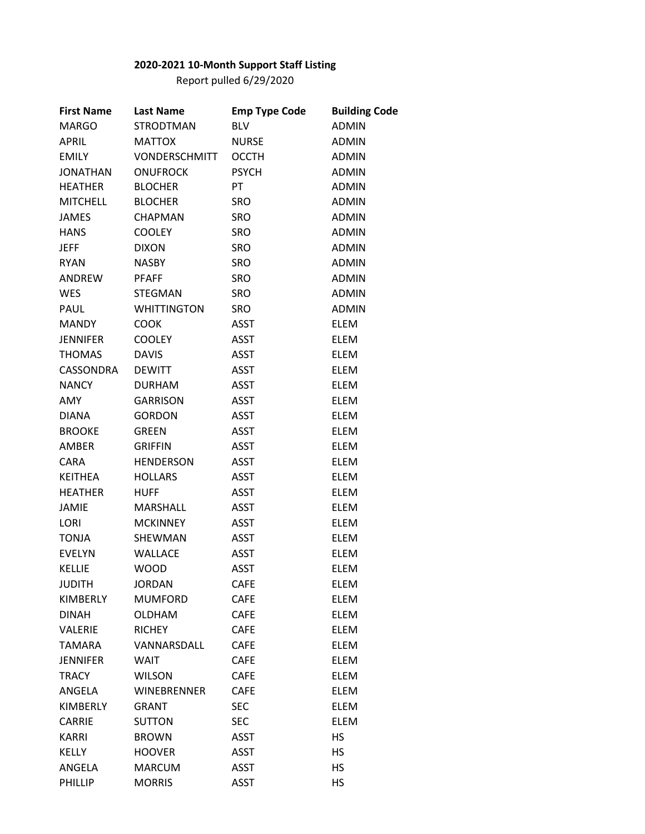## **2020-2021 10-Month Support Staff Listing**

Report pulled 6/29/2020

| <b>First Name</b> | <b>Last Name</b>     | <b>Emp Type Code</b> | <b>Building Code</b> |
|-------------------|----------------------|----------------------|----------------------|
| <b>MARGO</b>      | <b>STRODTMAN</b>     | <b>BLV</b>           | <b>ADMIN</b>         |
| <b>APRIL</b>      | <b>MATTOX</b>        | <b>NURSE</b>         | <b>ADMIN</b>         |
| <b>EMILY</b>      | <b>VONDERSCHMITT</b> | <b>OCCTH</b>         | <b>ADMIN</b>         |
| <b>JONATHAN</b>   | <b>ONUFROCK</b>      | <b>PSYCH</b>         | <b>ADMIN</b>         |
| <b>HEATHER</b>    | <b>BLOCHER</b>       | PT                   | <b>ADMIN</b>         |
| <b>MITCHELL</b>   | <b>BLOCHER</b>       | <b>SRO</b>           | <b>ADMIN</b>         |
| <b>JAMES</b>      | <b>CHAPMAN</b>       | <b>SRO</b>           | <b>ADMIN</b>         |
| <b>HANS</b>       | <b>COOLEY</b>        | <b>SRO</b>           | <b>ADMIN</b>         |
| <b>JEFF</b>       | <b>DIXON</b>         | <b>SRO</b>           | <b>ADMIN</b>         |
| <b>RYAN</b>       | <b>NASBY</b>         | <b>SRO</b>           | <b>ADMIN</b>         |
| ANDREW            | <b>PFAFF</b>         | <b>SRO</b>           | <b>ADMIN</b>         |
| <b>WES</b>        | <b>STEGMAN</b>       | <b>SRO</b>           | <b>ADMIN</b>         |
| PAUL              | <b>WHITTINGTON</b>   | <b>SRO</b>           | <b>ADMIN</b>         |
| <b>MANDY</b>      | <b>COOK</b>          | <b>ASST</b>          | <b>ELEM</b>          |
| <b>JENNIFER</b>   | <b>COOLEY</b>        | ASST                 | <b>ELEM</b>          |
| <b>THOMAS</b>     | <b>DAVIS</b>         | <b>ASST</b>          | <b>ELEM</b>          |
| CASSONDRA         | <b>DEWITT</b>        | <b>ASST</b>          | <b>ELEM</b>          |
| <b>NANCY</b>      | <b>DURHAM</b>        | <b>ASST</b>          | <b>ELEM</b>          |
| AMY               | <b>GARRISON</b>      | <b>ASST</b>          | <b>ELEM</b>          |
| <b>DIANA</b>      | <b>GORDON</b>        | <b>ASST</b>          | <b>ELEM</b>          |
| <b>BROOKE</b>     | <b>GREEN</b>         | <b>ASST</b>          | <b>ELEM</b>          |
| AMBER             | <b>GRIFFIN</b>       | <b>ASST</b>          | <b>ELEM</b>          |
| <b>CARA</b>       | <b>HENDERSON</b>     | <b>ASST</b>          | <b>ELEM</b>          |
| <b>KEITHEA</b>    | <b>HOLLARS</b>       | ASST                 | <b>ELEM</b>          |
| <b>HEATHER</b>    | <b>HUFF</b>          | <b>ASST</b>          | <b>ELEM</b>          |
| <b>JAMIE</b>      | MARSHALL             | <b>ASST</b>          | <b>ELEM</b>          |
| LORI              | <b>MCKINNEY</b>      | <b>ASST</b>          | <b>ELEM</b>          |
| <b>TONJA</b>      | SHEWMAN              | <b>ASST</b>          | <b>ELEM</b>          |
| <b>EVELYN</b>     | <b>WALLACE</b>       | ASST                 | <b>ELEM</b>          |
| <b>KELLIE</b>     | <b>WOOD</b>          | <b>ASST</b>          | <b>ELEM</b>          |
| <b>JUDITH</b>     | <b>JORDAN</b>        | <b>CAFE</b>          | <b>ELEM</b>          |
| <b>KIMBERLY</b>   | <b>MUMFORD</b>       | <b>CAFE</b>          | <b>ELEM</b>          |
| <b>DINAH</b>      | <b>OLDHAM</b>        | <b>CAFE</b>          | <b>ELEM</b>          |
| <b>VALERIE</b>    | <b>RICHEY</b>        | <b>CAFE</b>          | <b>ELEM</b>          |
| <b>TAMARA</b>     | VANNARSDALL          | <b>CAFE</b>          | <b>ELEM</b>          |
| <b>JENNIFER</b>   | WAIT                 | <b>CAFE</b>          | <b>ELEM</b>          |
| <b>TRACY</b>      | <b>WILSON</b>        | <b>CAFE</b>          | <b>ELEM</b>          |
| ANGELA            | <b>WINEBRENNER</b>   | <b>CAFE</b>          | <b>ELEM</b>          |
| <b>KIMBERLY</b>   | <b>GRANT</b>         | <b>SEC</b>           | <b>ELEM</b>          |
| <b>CARRIE</b>     | <b>SUTTON</b>        | <b>SEC</b>           | <b>ELEM</b>          |
| <b>KARRI</b>      | <b>BROWN</b>         | ASST                 | HS.                  |
| <b>KELLY</b>      | <b>HOOVER</b>        | <b>ASST</b>          | HS                   |
| ANGELA            | <b>MARCUM</b>        | <b>ASST</b>          | HS                   |
| PHILLIP           | <b>MORRIS</b>        | <b>ASST</b>          | HS                   |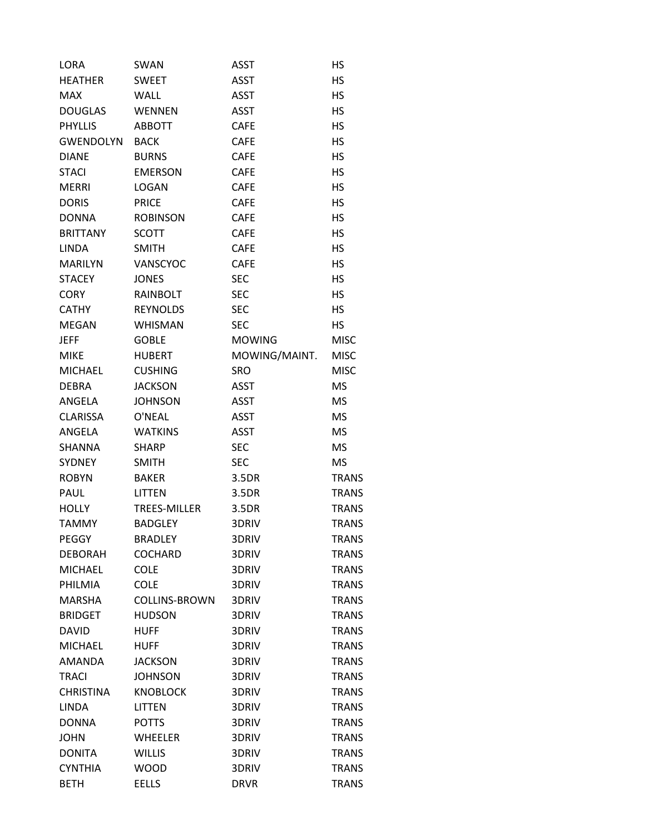| LORA             | SWAN                | <b>ASST</b>   | НS           |
|------------------|---------------------|---------------|--------------|
| <b>HEATHER</b>   | <b>SWEET</b>        | <b>ASST</b>   | <b>HS</b>    |
| <b>MAX</b>       | <b>WALL</b>         | ASST          | HS           |
| <b>DOUGLAS</b>   | WENNEN              | <b>ASST</b>   | HS           |
| <b>PHYLLIS</b>   | <b>ABBOTT</b>       | CAFE          | HS           |
| GWENDOLYN        | <b>BACK</b>         | CAFE          | HS           |
| <b>DIANE</b>     | <b>BURNS</b>        | <b>CAFE</b>   | <b>HS</b>    |
| <b>STACI</b>     | <b>EMERSON</b>      | <b>CAFE</b>   | HS           |
| <b>MERRI</b>     | <b>LOGAN</b>        | <b>CAFE</b>   | HS           |
| <b>DORIS</b>     | <b>PRICE</b>        | <b>CAFE</b>   | НS           |
| <b>DONNA</b>     | <b>ROBINSON</b>     | <b>CAFE</b>   | <b>HS</b>    |
| <b>BRITTANY</b>  | <b>SCOTT</b>        | <b>CAFE</b>   | <b>HS</b>    |
| <b>LINDA</b>     | <b>SMITH</b>        | <b>CAFE</b>   | HS           |
| <b>MARILYN</b>   | VANSCYOC            | <b>CAFE</b>   | HS           |
| <b>STACEY</b>    | <b>JONES</b>        | <b>SEC</b>    | HS           |
| <b>CORY</b>      | RAINBOLT            | <b>SEC</b>    | <b>HS</b>    |
| <b>CATHY</b>     | <b>REYNOLDS</b>     | <b>SEC</b>    | <b>HS</b>    |
| <b>MEGAN</b>     | <b>WHISMAN</b>      | <b>SEC</b>    | HS           |
| <b>JEFF</b>      | <b>GOBLE</b>        | <b>MOWING</b> | <b>MISC</b>  |
| <b>MIKE</b>      | <b>HUBERT</b>       | MOWING/MAINT. | <b>MISC</b>  |
| <b>MICHAEL</b>   | <b>CUSHING</b>      | <b>SRO</b>    | <b>MISC</b>  |
| <b>DEBRA</b>     | <b>JACKSON</b>      | <b>ASST</b>   | MS           |
| ANGELA           | <b>JOHNSON</b>      | <b>ASST</b>   | <b>MS</b>    |
| <b>CLARISSA</b>  | O'NEAL              | ASST          | MS           |
| ANGELA           | <b>WATKINS</b>      | <b>ASST</b>   | MS           |
| <b>SHANNA</b>    | <b>SHARP</b>        | <b>SEC</b>    | <b>MS</b>    |
| <b>SYDNEY</b>    | <b>SMITH</b>        | <b>SEC</b>    | MS           |
| <b>ROBYN</b>     | <b>BAKER</b>        | 3.5DR         | <b>TRANS</b> |
| PAUL             | <b>LITTEN</b>       | 3.5DR         | TRANS        |
| <b>HOLLY</b>     | <b>TREES-MILLER</b> | 3.5DR         | <b>TRANS</b> |
| <b>TAMMY</b>     | <b>BADGLEY</b>      | 3DRIV         | <b>TRANS</b> |
| PEGGY            | <b>BRADLEY</b>      | 3DRIV         | <b>TRANS</b> |
| <b>DEBORAH</b>   | <b>COCHARD</b>      | 3DRIV         | <b>TRANS</b> |
| <b>MICHAEL</b>   | <b>COLE</b>         | 3DRIV         | <b>TRANS</b> |
| PHILMIA          | COLE                | 3DRIV         | <b>TRANS</b> |
| <b>MARSHA</b>    | COLLINS-BROWN       | 3DRIV         | <b>TRANS</b> |
| <b>BRIDGET</b>   | <b>HUDSON</b>       | 3DRIV         | <b>TRANS</b> |
| <b>DAVID</b>     | <b>HUFF</b>         | 3DRIV         | <b>TRANS</b> |
| <b>MICHAEL</b>   | <b>HUFF</b>         | 3DRIV         | <b>TRANS</b> |
| <b>AMANDA</b>    | <b>JACKSON</b>      | 3DRIV         | <b>TRANS</b> |
| <b>TRACI</b>     | <b>JOHNSON</b>      | 3DRIV         | <b>TRANS</b> |
| <b>CHRISTINA</b> | <b>KNOBLOCK</b>     | 3DRIV         | <b>TRANS</b> |
| <b>LINDA</b>     | <b>LITTEN</b>       | 3DRIV         | <b>TRANS</b> |
| <b>DONNA</b>     | <b>POTTS</b>        | 3DRIV         | <b>TRANS</b> |
| <b>JOHN</b>      | <b>WHEELER</b>      | 3DRIV         | <b>TRANS</b> |
| <b>DONITA</b>    | <b>WILLIS</b>       | 3DRIV         | <b>TRANS</b> |
| <b>CYNTHIA</b>   | <b>WOOD</b>         | 3DRIV         | <b>TRANS</b> |
| <b>BETH</b>      | <b>EELLS</b>        | <b>DRVR</b>   | <b>TRANS</b> |
|                  |                     |               |              |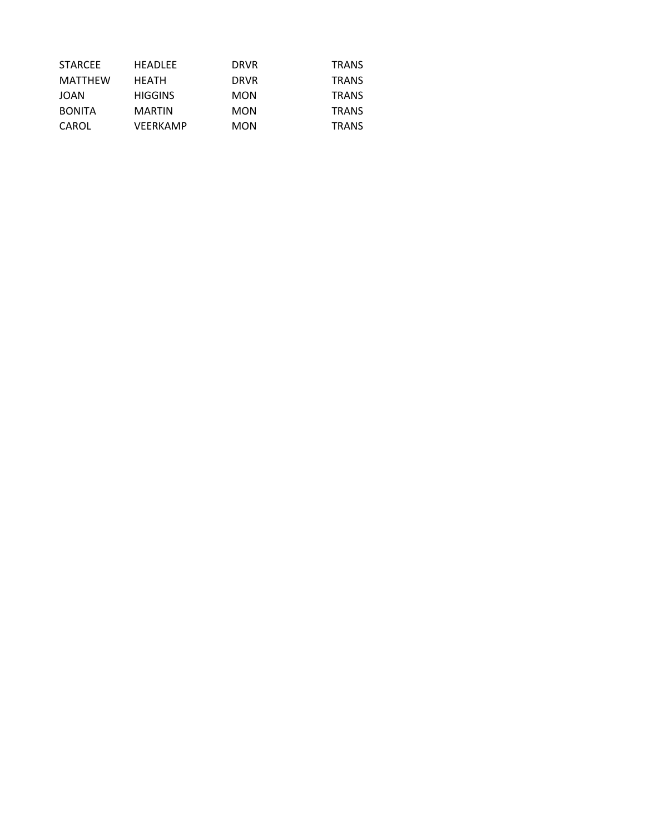| <b>STARCEE</b> | <b>HEADLEE</b>  | <b>DRVR</b> | <b>TRANS</b> |
|----------------|-----------------|-------------|--------------|
| MATTHEW        | <b>HEATH</b>    | <b>DRVR</b> | <b>TRANS</b> |
| <b>JOAN</b>    | <b>HIGGINS</b>  | <b>MON</b>  | <b>TRANS</b> |
| <b>BONITA</b>  | <b>MARTIN</b>   | <b>MON</b>  | <b>TRANS</b> |
| CAROL          | <b>VEERKAMP</b> | <b>MON</b>  | <b>TRANS</b> |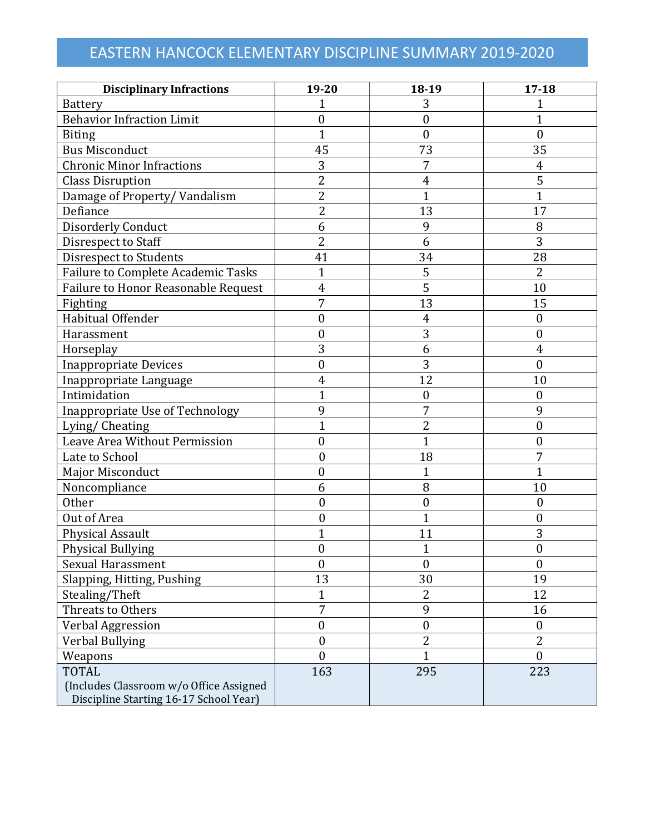# EASTERN HANCOCK ELEMENTARY DISCIPLINE SUMMARY 2019-2020

| <b>Disciplinary Infractions</b>                                                   | 19-20            | 18-19            | $17 - 18$        |
|-----------------------------------------------------------------------------------|------------------|------------------|------------------|
| Battery                                                                           | $\overline{1}$   | 3                | 1                |
| <b>Behavior Infraction Limit</b>                                                  | $\boldsymbol{0}$ | $\boldsymbol{0}$ | $\mathbf 1$      |
| <b>Biting</b>                                                                     | $\mathbf{1}$     | $\mathbf{0}$     | $\boldsymbol{0}$ |
| <b>Bus Misconduct</b>                                                             | 45               | 73               | 35               |
| <b>Chronic Minor Infractions</b>                                                  | 3                | 7                | 4                |
| <b>Class Disruption</b>                                                           | $\overline{2}$   | 4                | 5                |
| Damage of Property/Vandalism                                                      | $\overline{2}$   | $\mathbf{1}$     | $\overline{1}$   |
| Defiance                                                                          | $\overline{2}$   | 13               | 17               |
| <b>Disorderly Conduct</b>                                                         | 6                | 9                | 8                |
| Disrespect to Staff                                                               | $\overline{2}$   | 6                | 3                |
| Disrespect to Students                                                            | 41               | 34               | 28               |
| Failure to Complete Academic Tasks                                                | $\mathbf{1}$     | 5                | $\overline{2}$   |
| Failure to Honor Reasonable Request                                               | $\overline{4}$   | 5                | 10               |
| Fighting                                                                          | 7                | 13               | 15               |
| Habitual Offender                                                                 | $\boldsymbol{0}$ | $\overline{4}$   | $\boldsymbol{0}$ |
| Harassment                                                                        | $\boldsymbol{0}$ | 3                | $\boldsymbol{0}$ |
| Horseplay                                                                         | 3                | 6                | 4                |
| <b>Inappropriate Devices</b>                                                      | $\boldsymbol{0}$ | 3                | $\boldsymbol{0}$ |
| Inappropriate Language                                                            | 4                | 12               | 10               |
| Intimidation                                                                      | $\mathbf{1}$     | $\boldsymbol{0}$ | $\boldsymbol{0}$ |
| Inappropriate Use of Technology                                                   | 9                | 7                | 9                |
| Lying/ Cheating                                                                   | $\overline{1}$   | $\overline{2}$   | $\boldsymbol{0}$ |
| Leave Area Without Permission                                                     | $\boldsymbol{0}$ | 1                | $\boldsymbol{0}$ |
| Late to School                                                                    | $\boldsymbol{0}$ | 18               | 7                |
| <b>Major Misconduct</b>                                                           | $\boldsymbol{0}$ | 1                | $\mathbf{1}$     |
| Noncompliance                                                                     | 6                | 8                | 10               |
| <b>Other</b>                                                                      | $\mathbf{0}$     | $\boldsymbol{0}$ | $\boldsymbol{0}$ |
| Out of Area                                                                       | $\boldsymbol{0}$ | 1                | $\boldsymbol{0}$ |
| Physical Assault                                                                  | $\mathbf{1}$     | 11               | 3                |
| <b>Physical Bullying</b>                                                          | $\theta$         |                  | $\theta$         |
| Sexual Harassment                                                                 | $\boldsymbol{0}$ | $\boldsymbol{0}$ | $\boldsymbol{0}$ |
| Slapping, Hitting, Pushing                                                        | 13               | 30               | 19               |
| Stealing/Theft                                                                    | 1                | 2                | 12               |
| Threats to Others                                                                 | $\overline{7}$   | 9                | 16               |
| Verbal Aggression                                                                 | $\boldsymbol{0}$ | $\boldsymbol{0}$ | $\boldsymbol{0}$ |
| <b>Verbal Bullying</b>                                                            | $\boldsymbol{0}$ | 2                | $\overline{2}$   |
| Weapons                                                                           | $\overline{0}$   | $\mathbf 1$      | $\mathbf{0}$     |
| <b>TOTAL</b>                                                                      | 163              | 295              | 223              |
| (Includes Classroom w/o Office Assigned<br>Discipline Starting 16-17 School Year) |                  |                  |                  |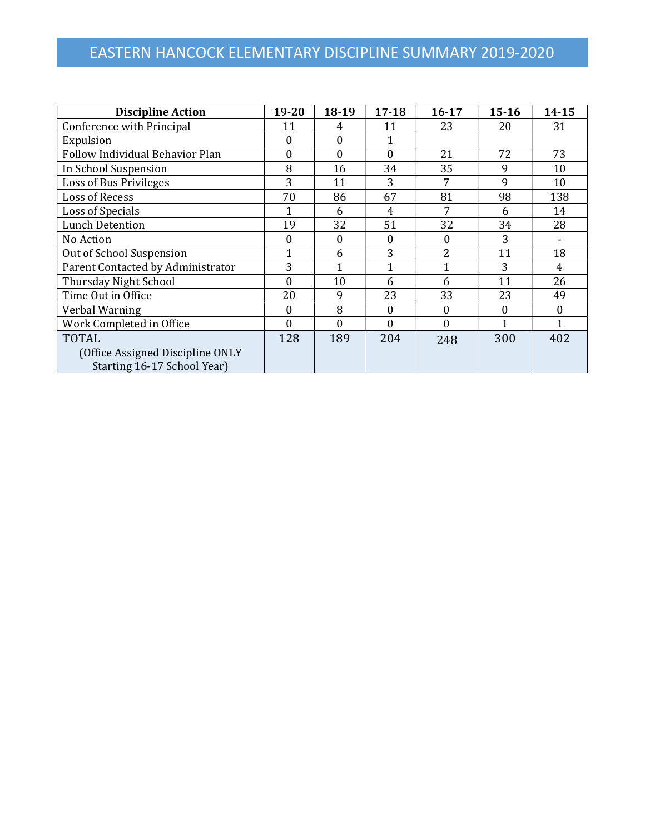# EASTERN HANCOCK ELEMENTARY DISCIPLINE SUMMARY 2019-2020

| <b>Discipline Action</b>          | 19-20            | 18-19        | $17 - 18$ | $16 - 17$      | $15 - 16$ | 14-15          |
|-----------------------------------|------------------|--------------|-----------|----------------|-----------|----------------|
| Conference with Principal         | 11               | 4            | 11        | 23             | 20        | 31             |
| Expulsion                         | $\boldsymbol{0}$ | $\Omega$     |           |                |           |                |
| Follow Individual Behavior Plan   | 0                | $\mathbf{0}$ | $\theta$  | 21             | 72        | 73             |
| In School Suspension              | 8                | 16           | 34        | 35             | 9         | 10             |
| Loss of Bus Privileges            | 3                | 11           | 3         |                | 9         | 10             |
| <b>Loss of Recess</b>             | 70               | 86           | 67        | 81             | 98        | 138            |
| Loss of Specials                  |                  | 6            | 4         |                | 6         | 14             |
| <b>Lunch Detention</b>            | 19               | 32           | 51        | 32             | 34        | 28             |
| No Action                         | 0                | $\theta$     | 0         | $\Omega$       | 3         |                |
| Out of School Suspension          | 1                | 6            | 3         | $\overline{2}$ | 11        | 18             |
| Parent Contacted by Administrator | 3                | 1            |           |                | 3         | $\overline{4}$ |
| Thursday Night School             | 0                | 10           | 6         | 6              | 11        | 26             |
| Time Out in Office                | 20               | 9            | 23        | 33             | 23        | 49             |
| Verbal Warning                    | $\Omega$         | 8            | 0         | $\Omega$       | 0         | $\Omega$       |
| Work Completed in Office          | $\Omega$         | $\Omega$     | $\Omega$  | $\Omega$       |           |                |
| <b>TOTAL</b>                      | 128              | 189          | 204       | 248            | 300       | 402            |
| (Office Assigned Discipline ONLY  |                  |              |           |                |           |                |
| Starting 16-17 School Year)       |                  |              |           |                |           |                |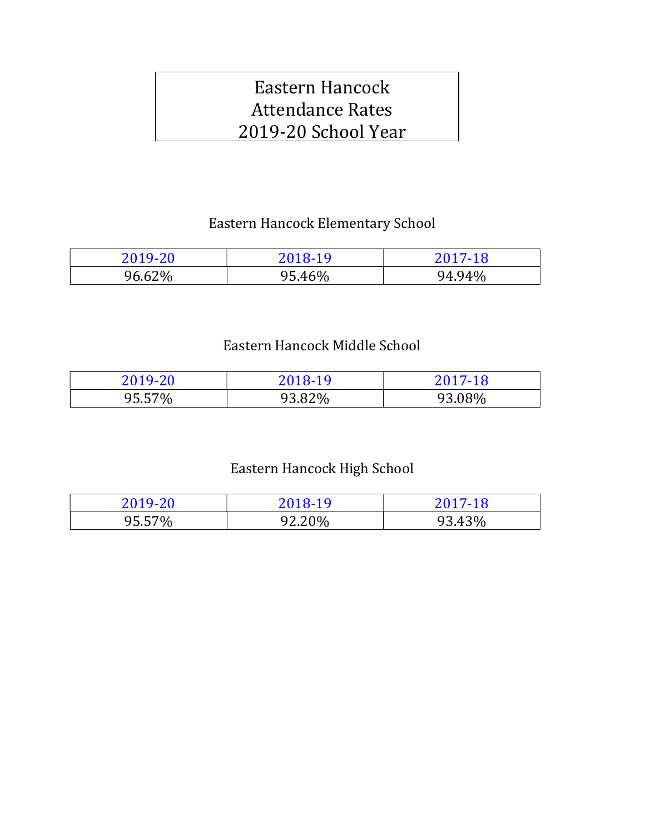# Eastern Hancock Attendance Rates 2019-20 School Year

# Eastern Hancock Elementary School

| 2019-20 | 2018-19 | 2017-18 |
|---------|---------|---------|
| 96.62%  | 95.46%  | 94.94%  |

# Eastern Hancock Middle School

| 2019-20 | 2018-19 | 2017-18 |
|---------|---------|---------|
| 95.57%  | 93.82%  | 93.08%  |

# Eastern Hancock High School

| 2019-20 | 2018-19 | 2017-18 |
|---------|---------|---------|
| 95.57%  | 92.20%  | 93.43%  |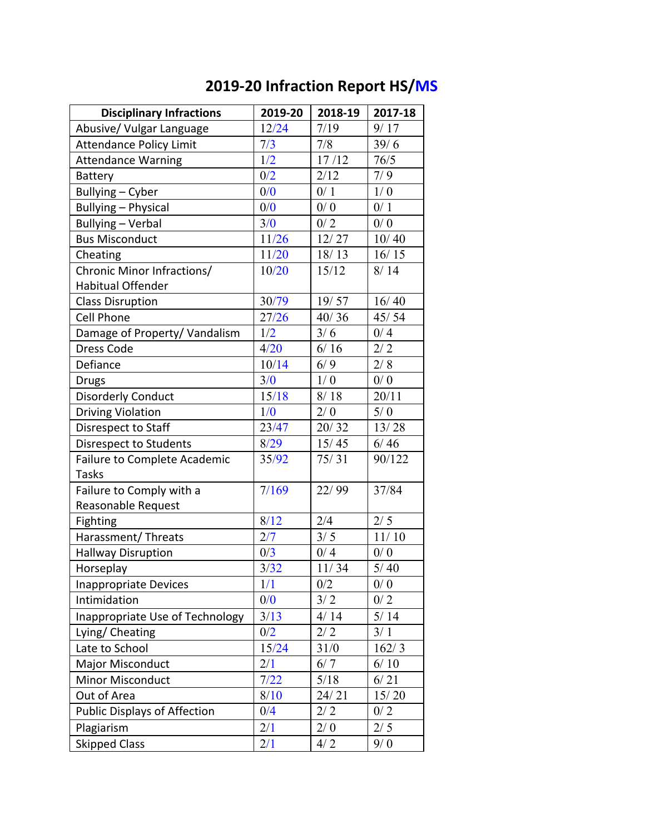| <b>Disciplinary Infractions</b>     | 2019-20 | 2018-19 | 2017-18 |
|-------------------------------------|---------|---------|---------|
| Abusive/ Vulgar Language            | 12/24   | 7/19    | 9/17    |
| <b>Attendance Policy Limit</b>      | 7/3     | 7/8     | 39/6    |
| <b>Attendance Warning</b>           | 1/2     | 17/12   | 76/5    |
| <b>Battery</b>                      | 0/2     | 2/12    | 7/9     |
| Bullying - Cyber                    | 0/0     | 0/1     | 1/0     |
| <b>Bullying - Physical</b>          | 0/0     | 0/0     | 0/1     |
| <b>Bullying - Verbal</b>            | 3/0     | 0/2     | 0/0     |
| <b>Bus Misconduct</b>               | 11/26   | 12/27   | 10/40   |
| Cheating                            | 11/20   | 18/13   | 16/15   |
| Chronic Minor Infractions/          | 10/20   | 15/12   | 8/14    |
| <b>Habitual Offender</b>            |         |         |         |
| <b>Class Disruption</b>             | 30/79   | 19/57   | 16/40   |
| <b>Cell Phone</b>                   | 27/26   | 40/36   | 45/54   |
| Damage of Property/ Vandalism       | 1/2     | 3/6     | 0/4     |
| Dress Code                          | 4/20    | 6/16    | 2/2     |
| Defiance                            | 10/14   | 6/9     | 2/8     |
| <b>Drugs</b>                        | 3/0     | 1/0     | 0/0     |
| <b>Disorderly Conduct</b>           | 15/18   | 8/18    | 20/11   |
| <b>Driving Violation</b>            | 1/0     | 2/0     | 5/0     |
| Disrespect to Staff                 | 23/47   | 20/32   | 13/28   |
| Disrespect to Students              | 8/29    | 15/45   | 6/46    |
| Failure to Complete Academic        | 35/92   | 75/31   | 90/122  |
| <b>Tasks</b>                        |         |         |         |
| Failure to Comply with a            | 7/169   | 22/99   | 37/84   |
| Reasonable Request                  |         |         |         |
| Fighting                            | 8/12    | 2/4     | $2/5$   |
| Harassment/Threats                  | 2/7     | 3/5     | 11/10   |
| <b>Hallway Disruption</b>           | 0/3     | 0/4     | 0/0     |
| Horseplay                           | 3/32    | 11/34   | $5/40$  |
| <b>Inappropriate Devices</b>        | 1/1     | 0/2     | 0/0     |
| Intimidation                        | 0/0     | 3/2     | 0/2     |
| Inappropriate Use of Technology     | 3/13    | 4/14    | $5/14$  |
| Lying/ Cheating                     | 0/2     | 2/2     | 3/1     |
| Late to School                      | 15/24   | 31/0    | 162/3   |
| <b>Major Misconduct</b>             | 2/1     | 6/7     | 6/10    |
| Minor Misconduct                    | 7/22    | $5/18$  | 6/21    |
| Out of Area                         | 8/10    | 24/21   | 15/20   |
| <b>Public Displays of Affection</b> | 0/4     | 2/2     | 0/2     |
| Plagiarism                          | 2/1     | 2/0     | 2/5     |
| <b>Skipped Class</b>                | 2/1     | 4/2     | 9/0     |

# **2019-20 Infraction Report HS/MS**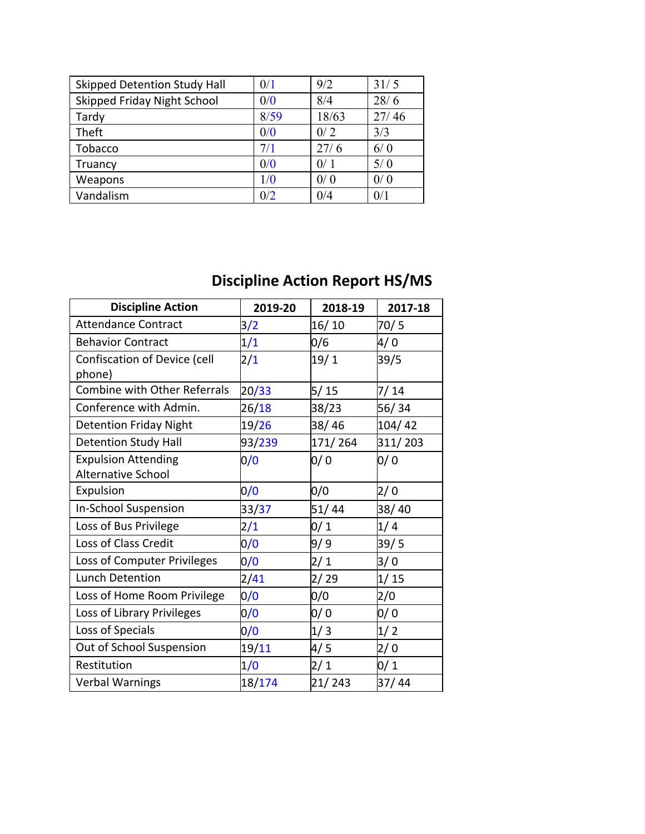| <b>Skipped Detention Study Hall</b> | 0/1  | 9/2   | 31/5  |
|-------------------------------------|------|-------|-------|
| Skipped Friday Night School         | 0/0  | 8/4   | 28/6  |
| Tardy                               | 8/59 | 18/63 | 27/46 |
| Theft                               | 0/0  | 0/2   | 3/3   |
| Tobacco                             | 7/1  | 27/6  | 6/0   |
| Truancy                             | 0/0  | 0/1   | 5/0   |
| Weapons                             | 1/0  | 0/0   | 0/0   |
| Vandalism                           | 0/2  | 0/4   | 0/1   |

# **Discipline Action Report HS/MS**

| <b>Discipline Action</b>                                | 2019-20 | 2018-19 | 2017-18 |
|---------------------------------------------------------|---------|---------|---------|
| <b>Attendance Contract</b>                              | 3/2     | 16/10   | 70/5    |
| <b>Behavior Contract</b>                                | 1/1     | 0/6     | 4/ 0    |
| Confiscation of Device (cell<br>phone)                  | 2/1     | 19/1    | 39/5    |
| <b>Combine with Other Referrals</b>                     | 20/33   | 5/15    | 7/14    |
| Conference with Admin.                                  | 26/18   | 38/23   | 56/34   |
| <b>Detention Friday Night</b>                           | 19/26   | 38/46   | 104/42  |
| <b>Detention Study Hall</b>                             | 93/239  | 171/264 | 311/203 |
| <b>Expulsion Attending</b><br><b>Alternative School</b> | 0/0     | 0/0     | 0/0     |
| Expulsion                                               | 0/0     | 0/0     | 2/0     |
| <b>In-School Suspension</b>                             | 33/37   | 51/44   | 38/40   |
| Loss of Bus Privilege                                   | 2/1     | 0/1     | 1/4     |
| Loss of Class Credit                                    | 0/0     | 9/9     | 39/5    |
| Loss of Computer Privileges                             | 0/0     | 2/1     | 3/0     |
| <b>Lunch Detention</b>                                  | 2/41    | 2/29    | 1/15    |
| Loss of Home Room Privilege                             | 0/0     | 0/0     | 2/0     |
| Loss of Library Privileges                              | 0/0     | 0/0     | 0/0     |
| Loss of Specials                                        | 0/0     | 1/3     | 1/2     |
| Out of School Suspension                                | 19/11   | 4/ 5    | 2/0     |
| Restitution                                             | 1/0     | 2/1     | 0/1     |
| <b>Verbal Warnings</b>                                  | 18/174  | 21/243  | 37/44   |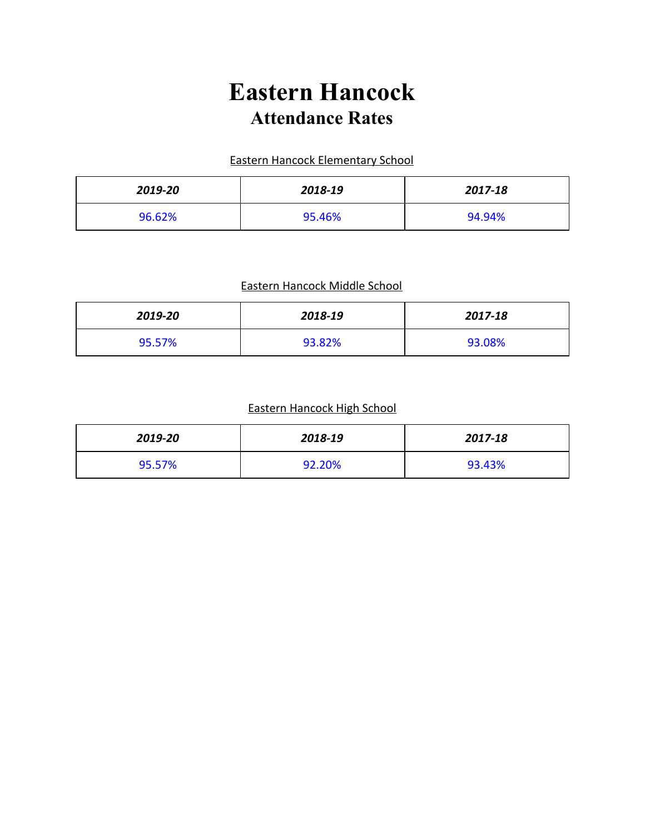# **Eastern Hancock Attendance Rates**

# Eastern Hancock Elementary School

| 2019-20 | 2018-19 | 2017-18 |
|---------|---------|---------|
| 96.62%  | 95.46%  | 94.94%  |

# Eastern Hancock Middle School

| 2019-20 | 2018-19 | 2017-18 |
|---------|---------|---------|
| 95.57%  | 93.82%  | 93.08%  |

## Eastern Hancock High School

| 2019-20 | 2018-19 | 2017-18 |
|---------|---------|---------|
| 95.57%  | 92.20%  | 93.43%  |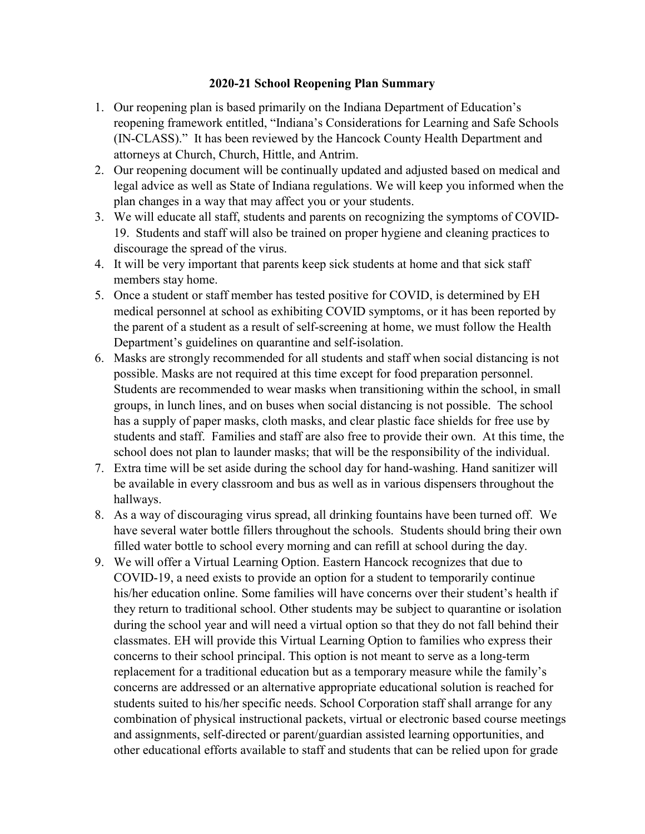### **2020-21 School Reopening Plan Summary**

- 1. Our reopening plan is based primarily on the Indiana Department of Education's reopening framework entitled, "Indiana's Considerations for Learning and Safe Schools (IN-CLASS)." It has been reviewed by the Hancock County Health Department and attorneys at Church, Church, Hittle, and Antrim.
- 2. Our reopening document will be continually updated and adjusted based on medical and legal advice as well as State of Indiana regulations. We will keep you informed when the plan changes in a way that may affect you or your students.
- 3. We will educate all staff, students and parents on recognizing the symptoms of COVID-19. Students and staff will also be trained on proper hygiene and cleaning practices to discourage the spread of the virus.
- 4. It will be very important that parents keep sick students at home and that sick staff members stay home.
- 5. Once a student or staff member has tested positive for COVID, is determined by EH medical personnel at school as exhibiting COVID symptoms, or it has been reported by the parent of a student as a result of self-screening at home, we must follow the Health Department's guidelines on quarantine and self-isolation.
- 6. Masks are strongly recommended for all students and staff when social distancing is not possible. Masks are not required at this time except for food preparation personnel. Students are recommended to wear masks when transitioning within the school, in small groups, in lunch lines, and on buses when social distancing is not possible. The school has a supply of paper masks, cloth masks, and clear plastic face shields for free use by students and staff. Families and staff are also free to provide their own. At this time, the school does not plan to launder masks; that will be the responsibility of the individual.
- 7. Extra time will be set aside during the school day for hand-washing. Hand sanitizer will be available in every classroom and bus as well as in various dispensers throughout the hallways.
- 8. As a way of discouraging virus spread, all drinking fountains have been turned off. We have several water bottle fillers throughout the schools. Students should bring their own filled water bottle to school every morning and can refill at school during the day.
- 9. We will offer a Virtual Learning Option. Eastern Hancock recognizes that due to COVID-19, a need exists to provide an option for a student to temporarily continue his/her education online. Some families will have concerns over their student's health if they return to traditional school. Other students may be subject to quarantine or isolation during the school year and will need a virtual option so that they do not fall behind their classmates. EH will provide this Virtual Learning Option to families who express their concerns to their school principal. This option is not meant to serve as a long-term replacement for a traditional education but as a temporary measure while the family's concerns are addressed or an alternative appropriate educational solution is reached for students suited to his/her specific needs. School Corporation staff shall arrange for any combination of physical instructional packets, virtual or electronic based course meetings and assignments, self-directed or parent/guardian assisted learning opportunities, and other educational efforts available to staff and students that can be relied upon for grade